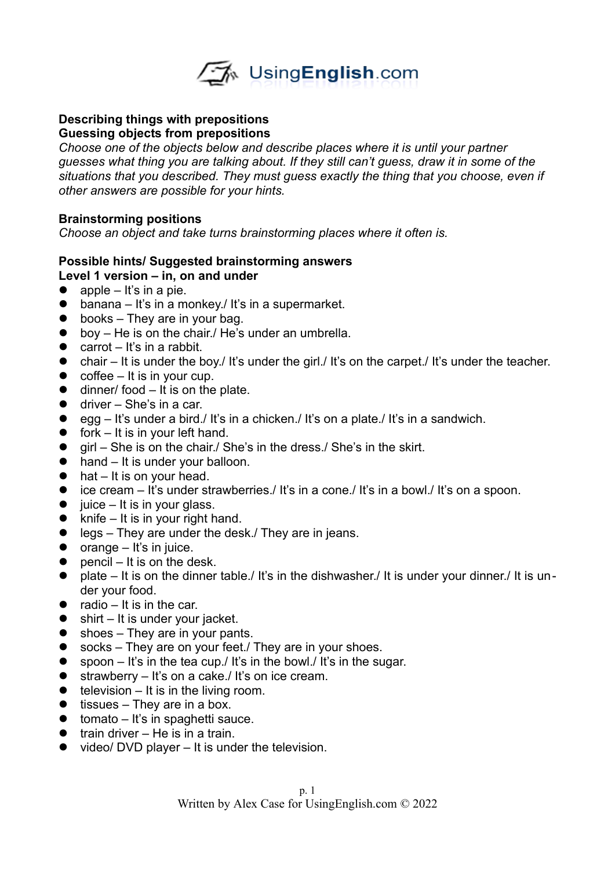

#### **Describing things with prepositions Guessing objects from prepositions**

*Choose one of the objects below and describe places where it is until your partner guesses what thing you are talking about. If they still can't guess, draw it in some of the situations that you described. They must guess exactly the thing that you choose, even if other answers are possible for your hints.* 

## **Brainstorming positions**

*Choose an object and take turns brainstorming places where it often is.* 

#### **Possible hints/ Suggested brainstorming answers Level 1 version – in, on and under**

- $\bullet$  apple It's in a pie.
- $\bullet$  banana It's in a monkey./ It's in a supermarket.
- $\bullet$  books They are in your bag.
- boy He is on the chair./ He's under an umbrella.
- $\bullet$  carrot It's in a rabbit.
- $\bullet$  chair It is under the boy./ It's under the girl./ It's on the carpet./ It's under the teacher.
- $\bullet$  coffee It is in your cup.
- $\bullet$  dinner/ food It is on the plate.
- $\bullet$  driver She's in a car.
- $\bullet$  egg It's under a bird./ It's in a chicken./ It's on a plate./ It's in a sandwich.
- $\bullet$  fork It is in your left hand.
- $\bullet$  girl She is on the chair./ She's in the dress./ She's in the skirt.
- hand It is under your balloon.
- $\bullet$  hat It is on your head.
- ice cream It's under strawberries./ It's in a cone./ It's in a bowl./ It's on a spoon.
- $\bullet$  juice It is in your glass.
- $\bullet$  knife It is in your right hand.
- legs They are under the desk./ They are in jeans.
- $\bullet$  orange It's in juice.
- $\bullet$  pencil It is on the desk.
- plate It is on the dinner table./ It's in the dishwasher./ It is under your dinner./ It is under your food.
- radio  $-$  It is in the car.
- $\bullet$  shirt It is under your jacket.
- $\bullet$  shoes They are in your pants.
- socks They are on your feet./ They are in your shoes.
- $\bullet$  spoon It's in the tea cup./ It's in the bowl./ It's in the sugar.
- $\bullet$  strawberry It's on a cake./ It's on ice cream.
- $\bullet$  television It is in the living room.
- $\bullet$  tissues They are in a box.
- $\bullet$  tomato It's in spaghetti sauce.
- $\bullet$  train driver He is in a train.
- $\bullet$  video/ DVD player It is under the television.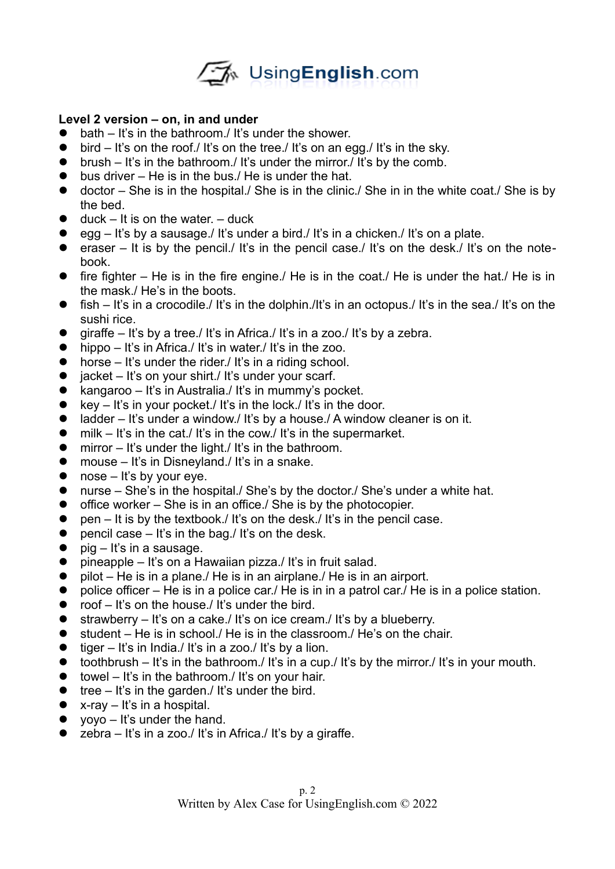

## **Level 2 version – on, in and under**

- $\bullet$  bath It's in the bathroom./ It's under the shower.
- $\bullet$  bird It's on the roof./ It's on the tree./ It's on an egg./ It's in the sky.
- $\bullet$  brush It's in the bathroom./ It's under the mirror./ It's by the comb.
- $\bullet$  bus driver He is in the bus./ He is under the hat.
- doctor She is in the hospital./ She is in the clinic./ She in in the white coat./ She is by the bed.
- $\bullet$  duck It is on the water. duck
- $\bullet$  egg It's by a sausage./ It's under a bird./ It's in a chicken./ It's on a plate.
- **e** eraser It is by the pencil./ It's in the pencil case./ It's on the desk./ It's on the notebook.
- $\bullet$  fire fighter He is in the fire engine./ He is in the coat./ He is under the hat./ He is in the mask./ He's in the boots.
- $\bullet$  fish It's in a crocodile./ It's in the dolphin./It's in an octopus./ It's in the sea./ It's on the sushi rice.
- $\bullet$  giraffe It's by a tree./ It's in Africa./ It's in a zoo./ It's by a zebra.
- $\bullet$  hippo It's in Africa./ It's in water./ It's in the zoo.
- horse It's under the rider./ It's in a riding school.
- $\bullet$  jacket It's on your shirt./ It's under your scarf.
- kangaroo It's in Australia./ It's in mummy's pocket.
- $\bullet$  key It's in your pocket./ It's in the lock./ It's in the door.
- $\bullet$  ladder It's under a window./ It's by a house./ A window cleaner is on it.
- $\bullet$  milk It's in the cat./ It's in the cow./ It's in the supermarket.
- $\bullet$  mirror It's under the light. It's in the bathroom.
- mouse It's in Disneyland./ It's in a snake.
- $\bullet$  nose It's by your eye.
- nurse She's in the hospital./ She's by the doctor./ She's under a white hat.
- $\bullet$  office worker She is in an office./ She is by the photocopier.
- $\bullet$  pen It is by the textbook./ It's on the desk./ It's in the pencil case.
- **•** pencil case  $-$  It's in the bag./ It's on the desk.
- $\bullet$  pig It's in a sausage.
- $\bullet$  pineapple It's on a Hawaiian pizza./ It's in fruit salad.
- $\bullet$  pilot He is in a plane./ He is in an airplane./ He is in an airport.
- $\bullet$  police officer He is in a police car./ He is in in a patrol car./ He is in a police station.
- $\bullet$  roof It's on the house. It's under the bird.
- $\bullet$  strawberry It's on a cake./ It's on ice cream./ It's by a blueberry.
- $\bullet$  student He is in school. He is in the classroom. He's on the chair.
- $\bullet$  tiger It's in India./ It's in a zoo./ It's by a lion.
- $\bullet$  toothbrush It's in the bathroom./ It's in a cup./ It's by the mirror./ It's in your mouth.
- $\bullet$  towel It's in the bathroom./ It's on your hair.
- $\bullet$  tree It's in the garden./ It's under the bird.
- $\bullet$  x-ray It's in a hospital.
- $\bullet$  voyo It's under the hand.
- $\bullet$  zebra It's in a zoo./ It's in Africa./ It's by a giraffe.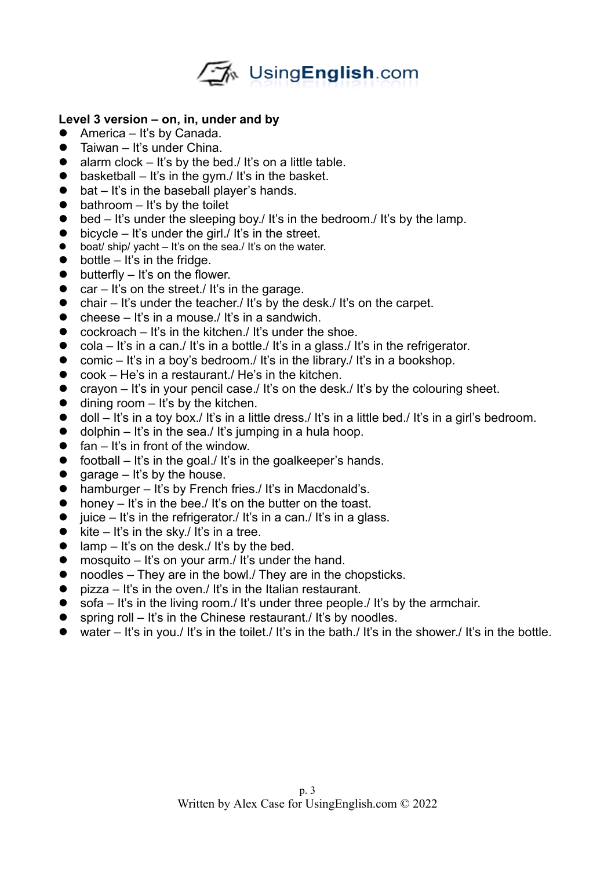

## **Level 3 version – on, in, under and by**

- America It's by Canada.
- **•** Taiwan It's under China.
- $\bullet$  alarm clock It's by the bed./ It's on a little table.
- $\bullet$  basketball It's in the gym./ It's in the basket.
- bat It's in the baseball player's hands.
- $\bullet$  bathroom It's by the toilet
- $\bullet$  bed It's under the sleeping boy./ It's in the bedroom./ It's by the lamp.
- $\bullet$  bicycle It's under the girl./ It's in the street.
- $\bullet$  boat/ ship/ yacht It's on the sea./ It's on the water.
- $\bullet$  bottle It's in the fridge.
- $\bullet$  butterfly It's on the flower.
- $\bullet$  car It's on the street./ It's in the garage.
- $\bullet$  chair It's under the teacher./ It's by the desk./ It's on the carpet.
- $\bullet$  cheese It's in a mouse./It's in a sandwich.
- $\bullet$  cockroach It's in the kitchen./ It's under the shoe.
- $\bullet$  cola It's in a can./ It's in a bottle./ It's in a glass./ It's in the refrigerator.
- $\bullet$  comic It's in a boy's bedroom./ It's in the library./ It's in a bookshop.
- cook He's in a restaurant./ He's in the kitchen.
- crayon It's in your pencil case./ It's on the desk./ It's by the colouring sheet.
- $\bullet$  dining room It's by the kitchen.
- doll It's in a toy box./ It's in a little dress./ It's in a little bed./ It's in a girl's bedroom.
- $\bullet$  dolphin It's in the sea./ It's jumping in a hula hoop.
- $\bullet$  fan It's in front of the window.
- $\bullet$  football It's in the goal./ It's in the goalkeeper's hands.
- garage  $-$  It's by the house.
- hamburger It's by French fries./ It's in Macdonald's.
- honey It's in the bee./ It's on the butter on the toast.
- $\bullet$  iuice It's in the refrigerator./ It's in a can./ It's in a glass.
- $\bullet$  kite It's in the sky./ It's in a tree.
- $\bullet$  lamp It's on the desk./ It's by the bed.
- mosquito It's on your arm./ It's under the hand.
- noodles They are in the bowl. They are in the chopsticks.
- $\bullet$  pizza It's in the oven./ It's in the Italian restaurant.
- $\bullet$  sofa It's in the living room./ It's under three people./ It's by the armchair.
- $\bullet$  spring roll It's in the Chinese restaurant. It's by noodles.
- $\bullet$  water It's in you./ It's in the toilet./ It's in the bath./ It's in the shower./ It's in the bottle.